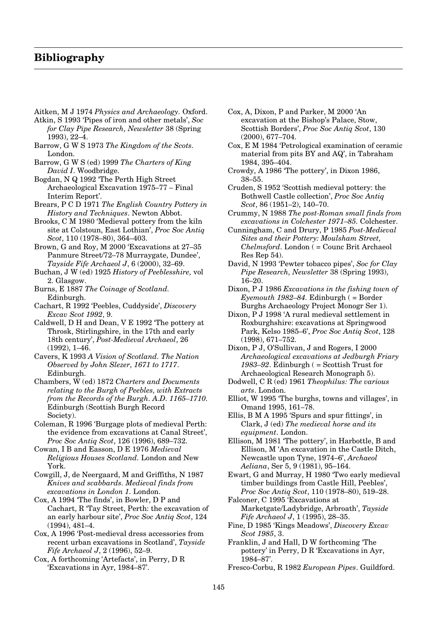## **Bibliography**

- Aitken, M J 1974 *Physics and Archaeology.* Oxford.
- Atkin, S 1993 'Pipes of iron and other metals', *Soc for Clay Pipe Research, Newsletter* 38 (Spring 1993), 22–4.
- Barrow, G W S 1973 *The Kingdom of the Scots.* London.
- Barrow, G W S (ed) 1999 *The Charters of King David I*. Woodbridge.
- Bogdan, N Q 1992 'The Perth High Street Archaeological Excavation 1975–77 – Final Interim Report'.
- Brears, P C D 1971 *The English Country Pottery in History and Techniques*. Newton Abbot.
- Brooks, C M 1980 'Medieval pottery from the kiln site at Colstoun, East Lothian', *Proc Soc Antiq Scot*, 110 (1978–80), 364–403.
- Brown, G and Roy, M 2000 'Excavations at 27–35 Panmure Street/72–78 Murraygate, Dundee', *Tayside Fife Archaeol J*, 6 (2000), 32–69.
- Buchan, J W (ed) 1925 *History of Peeblesshire,* vol 2. Glasgow.
- Burns, E 1887 *The Coinage of Scotland.* Edinburgh.
- Cachart, R 1992 'Peebles, Cuddyside', *Discovery Excav Scot 1992*, 9.
- Caldwell, D H and Dean, V E 1992 'The pottery at Throsk, Stirlingshire, in the 17th and early 18th century', *Post-Medieval Archaeol*, 26 (1992), 1–46.
- Cavers, K 1993 *A Vision of Scotland. The Nation Observed by John Slezer, 1671 to 1717*. Edinburgh.
- Chambers, W (ed) 1872 *Charters and Documents relating to the Burgh of Peebles, with Extracts from the Records of the Burgh. A.D. 1165–1710.* Edinburgh (Scottish Burgh Record Society).
- Coleman, R 1996 'Burgage plots of medieval Perth: the evidence from excavations at Canal Street', *Proc Soc Antiq Scot*, 126 (1996), 689–732.
- Cowan, I B and Easson, D E 1976 *Medieval Religious Houses Scotland.* London and New York.
- Cowgill, J, de Neergaard, M and Griffiths, N 1987 *Knives and scabbards. Medieval finds from excavations in London 1.* London.
- Cox, A 1994 'The finds', in Bowler, D P and Cachart, R 'Tay Street, Perth: the excavation of an early harbour site', *Proc Soc Antiq Scot*, 124 (1994), 481–4.
- Cox, A 1996 'Post-medieval dress accessories from recent urban excavations in Scotland', *Tayside Fife Archaeol J*, 2 (1996), 52–9.
- Cox, A forthcoming 'Artefacts', in Perry, D R 'Excavations in Ayr, 1984–87'.
- Cox, A, Dixon, P and Parker, M 2000 'An excavation at the Bishop's Palace, Stow, Scottish Borders', *Proc Soc Antiq Scot*, 130 (2000), 677–704.
- Cox, E M 1984 'Petrological examination of ceramic material from pits BY and AQ', in Tabraham 1984, 395–404.
- Crowdy, A 1986 'The pottery', in Dixon 1986, 38–55.
- Cruden, S 1952 'Scottish medieval pottery: the Bothwell Castle collection', *Proc Soc Antiq Scot*, 86 (1951–2), 140–70.
- Crummy, N 1988 *The post-Roman small finds from excavations in Colchester 1971–85.* Colchester.
- Cunningham, C and Drury, P 1985 *Post-Medieval Sites and their Pottery: Moulsham Street, Chelmsford*. London ( = Counc Brit Archaeol Res Rep 54).
- David, N 1993 'Pewter tobacco pipes', *Soc for Clay Pipe Research, Newsletter* 38 (Spring 1993), 16–20.
- Dixon, P J 1986 *Excavations in the fishing town of Eyemouth 1982–84.* Edinburgh ( = Border Burghs Archaeology Project Monogr Ser 1).
- Dixon, P J 1998 'A rural medieval settlement in Roxburghshire: excavations at Springwood Park, Kelso 1985–6', *Proc Soc Antiq Scot*, 128 (1998), 671–752.
- Dixon, P J, O'Sullivan, J and Rogers, I 2000 *Archaeological excavations at Jedburgh Friary 1983–92*. Edinburgh ( = Scottish Trust for Archaeological Research Monograph 5).
- Dodwell, C R (ed) 1961 *Theophilus: The various arts*. London.
- Elliot, W 1995 'The burghs, towns and villages', in Omand 1995, 161–78.
- Ellis, B M A 1995 'Spurs and spur fittings', in Clark, J (ed) *The medieval horse and its equipment*. London.
- Ellison, M 1981 'The pottery', in Harbottle, B and Ellison, M 'An excavation in the Castle Ditch, Newcastle upon Tyne, 1974–6', *Archaeol Aeliana*, Ser 5, 9 (1981), 95–164.
- Ewart, G and Murray, H 1980 'Two early medieval timber buildings from Castle Hill, Peebles', *Proc Soc Antiq Scot*, 110 (1978–80), 519–28.
- Falconer, C 1995 'Excavations at Marketgate/Ladybridge, Arbroath', *Tayside Fife Archaeol J*, 1 (1995), 28–35.
- Fine, D 1985 'Kings Meadows', *Discovery Excav Scot 1985*, 3.
- Franklin, J and Hall, D W forthcoming 'The pottery' in Perry, D R 'Excavations in Ayr, 1984–87'.
- Fresco-Corbu, R 1982 *European Pipes*. Guildford.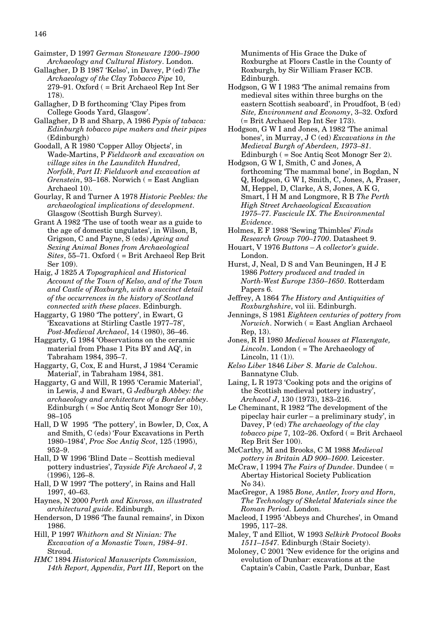Gaimster, D 1997 *German Stoneware 1200–1900 Archaeology and Cultural History*. London.

- Gallagher, D B 1987 'Kelso', in Davey, P (ed) *The Archaeology of the Clay Tobacco Pipe* 10, 279–91. Oxford ( = Brit Archaeol Rep Int Ser 178).
- Gallagher, D B forthcoming 'Clay Pipes from College Goods Yard, Glasgow'.
- Gallagher, D B and Sharp, A 1986 *Pypis of tabaca: Edinburgh tobacco pipe makers and their pipes* (Edinburgh)
- Goodall, A R 1980 'Copper Alloy Objects', in Wade-Martins, P *Fieldwork and excavation on village sites in the Launditch Hundred, Norfolk, Part II: Fieldwork and excavation at Grenstein*, 93–168. Norwich ( = East Anglian Archaeol 10).

Gourlay, R and Turner A 1978 *Historic Peebles: the archaeological implications of development*. Glasgow (Scottish Burgh Survey).

Grant A 1982 'The use of tooth wear as a guide to the age of domestic ungulates', in Wilson, B, Grigson, C and Payne, S (eds) *Ageing and Sexing Animal Bones from Archaeological Sites*, 55–71. Oxford ( = Brit Archaeol Rep Brit Ser 109).

Haig, J 1825 *A Topographical and Historical Account of the Town of Kelso, and of the Town and Castle of Roxburgh, with a succinct detail of the occurrences in the history of Scotland connected with these places.* Edinburgh.

Haggarty, G 1980 'The pottery', in Ewart, G 'Excavations at Stirling Castle 1977–78', *Post-Medieval Archaeol*, 14 (1980), 36–46.

Haggarty, G 1984 'Observations on the ceramic material from Phase 1 Pits BY and AQ', in Tabraham 1984, 395–7.

Haggarty, G, Cox, E and Hurst, J 1984 'Ceramic Material', in Tabraham 1984, 381.

- Haggarty, G and Will, R 1995 'Ceramic Material', in Lewis, J and Ewart, G *Jedburgh Abbey: the archaeology and architecture of a Border abbey*. Edinburgh ( = Soc Antiq Scot Monogr Ser 10), 98–105
- Hall, D W 1995 'The pottery', in Bowler, D, Cox, A and Smith, C (eds) 'Four Excavations in Perth 1980–1984', *Proc Soc Antiq Scot*, 125 (1995), 952–9.
- Hall, D W 1996 'Blind Date Scottish medieval pottery industries', *Tayside Fife Archaeol J*, 2 (1996), 126–8.
- Hall, D W 1997 'The pottery', in Rains and Hall 1997, 40–63.

Haynes, N 2000 *Perth and Kinross, an illustrated architectural guide*. Edinburgh.

Henderson, D 1986 'The faunal remains', in Dixon 1986.

Hill, P 1997 *Whithorn and St Ninian: The Excavation of a Monastic Town, 1984–91*. Stroud.

*HMC* 1894 *Historical Manuscripts Commission, 14th Report, Appendix, Part III*, Report on the Muniments of His Grace the Duke of Roxburghe at Floors Castle in the County of Roxburgh, by Sir William Fraser KCB. Edinburgh.

- Hodgson, G W I 1983 'The animal remains from medieval sites within three burghs on the eastern Scottish seaboard', in Proudfoot, B (ed) *Site, Environment and Economy*, 3–32. Oxford (= Brit Archaeol Rep Int Ser 173).
- Hodgson, G W I and Jones, A 1982 'The animal bones', in Murray, J C (ed) *Excavations in the Medieval Burgh of Aberdeen, 1973–81*. Edinburgh ( = Soc Antiq Scot Monogr Ser 2).
- Hodgson, G W I, Smith, C and Jones, A forthcoming 'The mammal bone', in Bogdan, N Q, Hodgson, G W I, Smith, C, Jones, A, Fraser, M, Heppel, D, Clarke, A S, Jones, A K G, Smart, I H M and Longmore, R B *The Perth High Street Archaeological Excavation 1975–77. Fascicule IX. The Environmental Evidence.*
- Holmes, E F 1988 'Sewing Thimbles' *Finds Research Group 700–1700*. Datasheet 9.
- Houart, V 1976 *Buttons A collector's guide*. London.

Hurst, J, Neal, D S and Van Beuningen, H J E 1986 *Pottery produced and traded in North-West Europe 1350–1650*. Rotterdam Papers 6.

- Jeffrey, A 1864 *The History and Antiquities of Roxburghshire*, vol iii. Edinburgh.
- Jennings, S 1981 *Eighteen centuries of pottery from Norwich*. Norwich ( = East Anglian Archaeol Rep, 13).
- Jones, R H 1980 *Medieval houses at Flaxengate, Lincoln*. London ( = The Archaeology of Lincoln, 11 (1)).
- *Kelso Liber* 1846 *Liber S. Marie de Calchou*. Bannatyne Club.
- Laing, L R 1973 'Cooking pots and the origins of the Scottish medieval pottery industry', *Archaeol J*, 130 (1973), 183–216.
- Le Cheminant, R 1982 'The development of the pipeclay hair curler – a preliminary study', in Davey, P (ed) *The archaeology of the clay tobacco pipe* 7, 102–26. Oxford ( = Brit Archaeol Rep Brit Ser 100).
- McCarthy, M and Brooks, C M 1988 *Medieval pottery in Britain AD 900–1600.* Leicester.
- McCraw, I 1994 *The Fairs of Dundee*. Dundee ( = Abertay Historical Society Publication No 34).
- MacGregor, A 1985 *Bone, Antler, Ivory and Horn, The Technology of Skeletal Materials since the Roman Period.* London.
- Macleod, I 1995 'Abbeys and Churches', in Omand 1995, 117–28.
- Maley, T and Elliot, W 1993 *Selkirk Protocol Books 1511–1547.* Edinburgh (Stair Society).
- Moloney, C 2001 'New evidence for the origins and evolution of Dunbar: excavations at the Captain's Cabin, Castle Park, Dunbar, East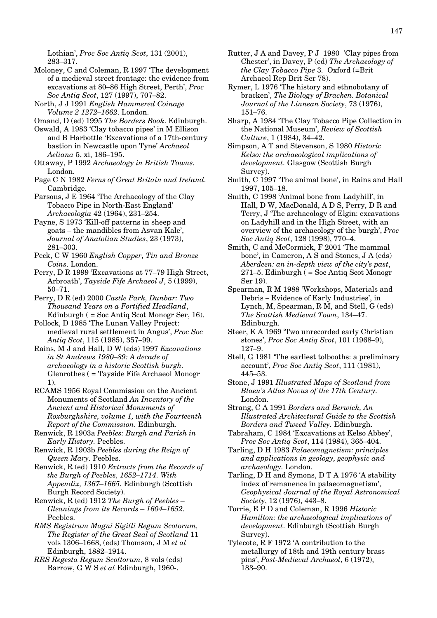Lothian', *Proc Soc Antiq Scot*, 131 (2001), 283–317.

- Moloney, C and Coleman, R 1997 'The development of a medieval street frontage: the evidence from excavations at 80–86 High Street, Perth', *Proc Soc Antiq Scot*, 127 (1997), 707–82.
- North, J J 1991 *English Hammered Coinage Volume 2 1272–1662*. London.
- Omand, D (ed) 1995 *The Borders Book*. Edinburgh.
- Oswald, A 1983 'Clay tobacco pipes' in M Ellison and B Harbottle 'Excavations of a 17th-century bastion in Newcastle upon Tyne' *Archaeol Aeliana* 5, xi, 186–195.
- Ottaway, P 1992 *Archaeology in British Towns.* London.
- Page C N 1982 *Ferns of Great Britain and Ireland.* Cambridge.
- Parsons, J E 1964 'The Archaeology of the Clay Tobacco Pipe in North-East England' *Archaeologia* 42 (1964), 231–254.
- Payne, S 1973 'Kill-off patterns in sheep and goats – the mandibles from Asvan Kale', *Journal of Anatolian Studies*, 23 (1973), 281–303.
- Peck, C W 1960 *English Copper, Tin and Bronze Coins*. London.
- Perry, D R 1999 'Excavations at 77–79 High Street, Arbroath', *Tayside Fife Archaeol J*, 5 (1999), 50–71.
- Perry, D R (ed) 2000 *Castle Park, Dunbar: Two Thousand Years on a Fortified Headland*, Edinburgh ( = Soc Antiq Scot Monogr Ser, 16).
- Pollock, D 1985 'The Lunan Valley Project: medieval rural settlement in Angus', *Proc Soc Antiq Scot*, 115 (1985), 357–99.
- Rains, M J and Hall, D W (eds) 1997 *Excavations in St Andrews 1980–89: A decade of archaeology in a historic Scottish burgh*. Glenrothes ( = Tayside Fife Archaeol Monogr 1).
- RCAMS 1956 Royal Commission on the Ancient Monuments of Scotland *An Inventory of the Ancient and Historical Monuments of Roxburghshire, volume 1, with the Fourteenth Report of the Commission.* Edinburgh.
- Renwick, R 1903a *Peebles: Burgh and Parish in Early History.* Peebles.
- Renwick, R 1903b *Peebles during the Reign of Queen Mary.* Peebles.
- Renwick, R (ed) 1910 *Extracts from the Records of the Burgh of Peebles, 1652–1714. With Appendix, 1367–1665.* Edinburgh (Scottish Burgh Record Society).
- Renwick, R (ed) 1912 *The Burgh of Peebles – Gleanings from its Records – 1604–1652.* Peebles.
- *RMS Registrum Magni Sigilli Regum Scotorum, The Register of the Great Seal of Scotland* 11 vols 1306–1668, (eds) Thomson, J M *et al* Edinburgh, 1882–1914.
- *RRS Regesta Regum Scottorum*, 8 vols (eds) Barrow, G W S *et al* Edinburgh, 1960-.
- Rutter, J A and Davey, P J 1980 'Clay pipes from Chester', in Davey, P (ed) *The Archaeology of the Clay Tobacco Pipe* 3*.* Oxford (=Brit Archaeol Rep Brit Ser 78).
- Rymer, L 1976 'The history and ethnobotany of bracken', *The Biology of Bracken. Botanical Journal of the Linnean Society*, 73 (1976), 151–76.
- Sharp, A 1984 'The Clay Tobacco Pipe Collection in the National Museum', *Review of Scottish Culture*, 1 (1984), 34–42.
- Simpson, A T and Stevenson, S 1980 *Historic Kelso: the archaeological implications of development.* Glasgow (Scottish Burgh Survey).
- Smith, C 1997 'The animal bone', in Rains and Hall 1997, 105–18.
- Smith, C 1998 'Animal bone from Ladyhill', in Hall, D W, MacDonald, A D S, Perry, D R and Terry, J 'The archaeology of Elgin: excavations on Ladyhill and in the High Street, with an overview of the archaeology of the burgh', *Proc Soc Antiq Scot*, 128 (1998), 770–4.
- Smith, C and McCormick, F 2001 'The mammal bone', in Cameron, A S and Stones, J A (eds) *Aberdeen: an in-depth view of the city's past*, 271–5. Edinburgh ( = Soc Antiq Scot Monogr Ser 19).
- Spearman, R M 1988 'Workshops, Materials and Debris – Evidence of Early Industries', in Lynch, M, Spearman, R M, and Stell, G (eds) *The Scottish Medieval Town*, 134–47. Edinburgh.
- Steer, K A 1969 'Two unrecorded early Christian stones', *Proc Soc Antiq Scot*, 101 (1968–9), 127–9.
- Stell, G 1981 'The earliest tolbooths: a preliminary account', *Proc Soc Antiq Scot*, 111 (1981), 445–53.
- Stone, J 1991 *Illustrated Maps of Scotland from Blaeu's Atlas Novus of the 17th Century.* London.
- Strang, C A 1991 *Borders and Berwick, An Illustrated Architectural Guide to the Scottish Borders and Tweed Valley.* Edinburgh.
- Tabraham, C 1984 'Excavations at Kelso Abbey', *Proc Soc Antiq Scot*, 114 (1984), 365–404.
- Tarling, D H 1983 *Palaeomagnetism: principles and applications in geology, geophysic and archaeology.* London.
- Tarling, D H and Symons, D T A 1976 'A stability index of remanence in palaeomagnetism', *Geophysical Journal of the Royal Astronomical Society*, 12 (1976), 443–8.
- Torrie, E P D and Coleman, R 1996 *Historic Hamilton: the archaeological implications of development*. Edinburgh (Scottish Burgh Survey).
- Tylecote, R F 1972 'A contribution to the metallurgy of 18th and 19th century brass pins', *Post-Medieval Archaeol*, 6 (1972), 183–90.